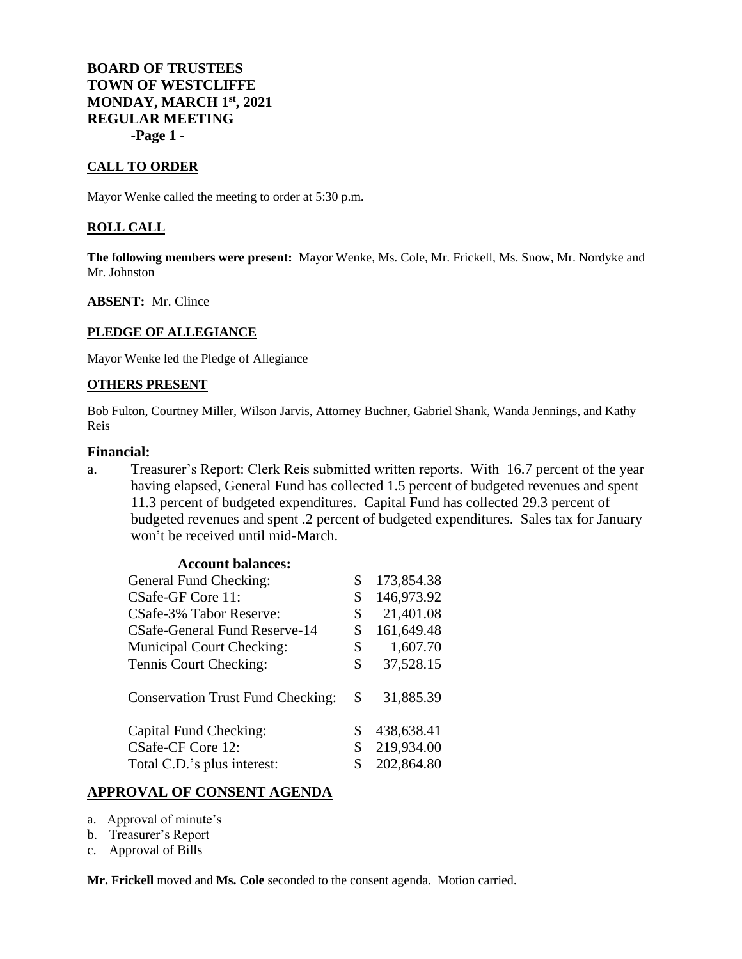**BOARD OF TRUSTEES TOWN OF WESTCLIFFE MONDAY, MARCH 1st, 2021 REGULAR MEETING -Page 1 -**

## **CALL TO ORDER**

Mayor Wenke called the meeting to order at 5:30 p.m.

#### **ROLL CALL**

**The following members were present:** Mayor Wenke, Ms. Cole, Mr. Frickell, Ms. Snow, Mr. Nordyke and Mr. Johnston

#### **ABSENT:** Mr. Clince

#### **PLEDGE OF ALLEGIANCE**

Mayor Wenke led the Pledge of Allegiance

#### **OTHERS PRESENT**

Bob Fulton, Courtney Miller, Wilson Jarvis, Attorney Buchner, Gabriel Shank, Wanda Jennings, and Kathy Reis

#### **Financial:**

a. Treasurer's Report: Clerk Reis submitted written reports. With 16.7 percent of the year having elapsed, General Fund has collected 1.5 percent of budgeted revenues and spent 11.3 percent of budgeted expenditures. Capital Fund has collected 29.3 percent of budgeted revenues and spent .2 percent of budgeted expenditures. Sales tax for January won't be received until mid-March.

| <b>Account balances:</b>                 |                  |
|------------------------------------------|------------------|
| General Fund Checking:                   | \$<br>173,854.38 |
| CSafe-GF Core 11:                        | \$<br>146,973.92 |
| CSafe-3% Tabor Reserve:                  | \$<br>21,401.08  |
| CSafe-General Fund Reserve-14            | \$<br>161,649.48 |
| <b>Municipal Court Checking:</b>         | \$<br>1,607.70   |
| Tennis Court Checking:                   | \$<br>37,528.15  |
| <b>Conservation Trust Fund Checking:</b> | \$<br>31,885.39  |
| Capital Fund Checking:                   | \$<br>438,638.41 |
| CSafe-CF Core 12:                        | \$<br>219,934.00 |
| Total C.D.'s plus interest:              | \$<br>202,864.80 |
|                                          |                  |

## **APPROVAL OF CONSENT AGENDA**

- a. Approval of minute's
- b. Treasurer's Report
- c. Approval of Bills

**Mr. Frickell** moved and **Ms. Cole** seconded to the consent agenda. Motion carried.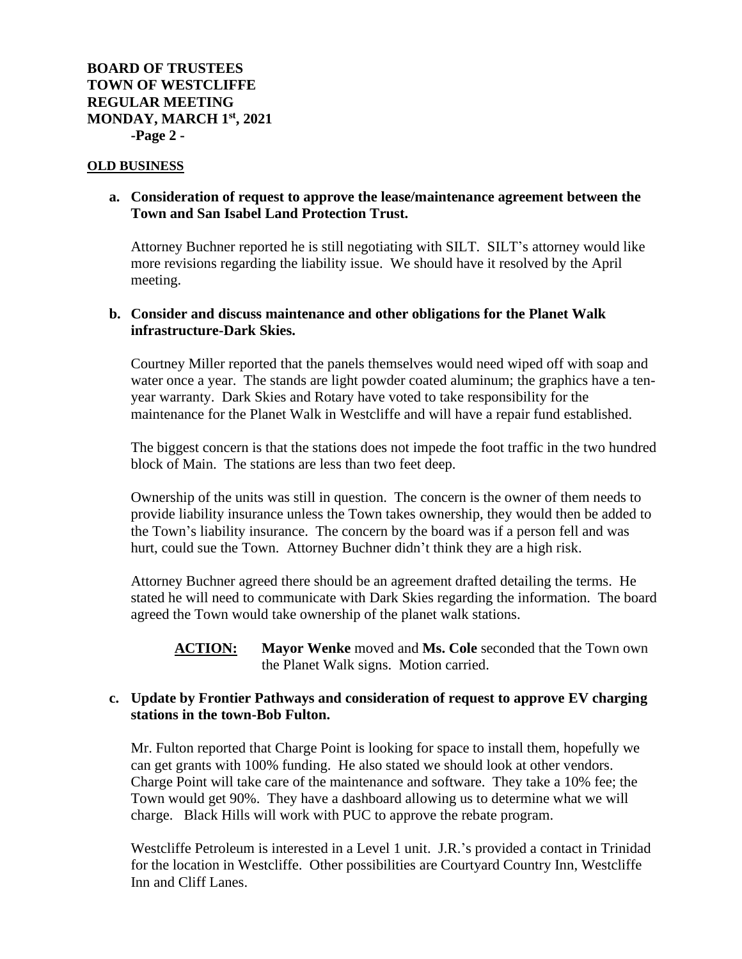#### **OLD BUSINESS**

## **a. Consideration of request to approve the lease/maintenance agreement between the Town and San Isabel Land Protection Trust.**

Attorney Buchner reported he is still negotiating with SILT. SILT's attorney would like more revisions regarding the liability issue. We should have it resolved by the April meeting.

# **b. Consider and discuss maintenance and other obligations for the Planet Walk infrastructure-Dark Skies.**

Courtney Miller reported that the panels themselves would need wiped off with soap and water once a year. The stands are light powder coated aluminum; the graphics have a tenyear warranty. Dark Skies and Rotary have voted to take responsibility for the maintenance for the Planet Walk in Westcliffe and will have a repair fund established.

The biggest concern is that the stations does not impede the foot traffic in the two hundred block of Main. The stations are less than two feet deep.

Ownership of the units was still in question. The concern is the owner of them needs to provide liability insurance unless the Town takes ownership, they would then be added to the Town's liability insurance. The concern by the board was if a person fell and was hurt, could sue the Town. Attorney Buchner didn't think they are a high risk.

Attorney Buchner agreed there should be an agreement drafted detailing the terms. He stated he will need to communicate with Dark Skies regarding the information. The board agreed the Town would take ownership of the planet walk stations.

# **ACTION: Mayor Wenke** moved and **Ms. Cole** seconded that the Town own the Planet Walk signs. Motion carried.

# **c. Update by Frontier Pathways and consideration of request to approve EV charging stations in the town-Bob Fulton.**

Mr. Fulton reported that Charge Point is looking for space to install them, hopefully we can get grants with 100% funding. He also stated we should look at other vendors. Charge Point will take care of the maintenance and software. They take a 10% fee; the Town would get 90%. They have a dashboard allowing us to determine what we will charge. Black Hills will work with PUC to approve the rebate program.

Westcliffe Petroleum is interested in a Level 1 unit. J.R.'s provided a contact in Trinidad for the location in Westcliffe. Other possibilities are Courtyard Country Inn, Westcliffe Inn and Cliff Lanes.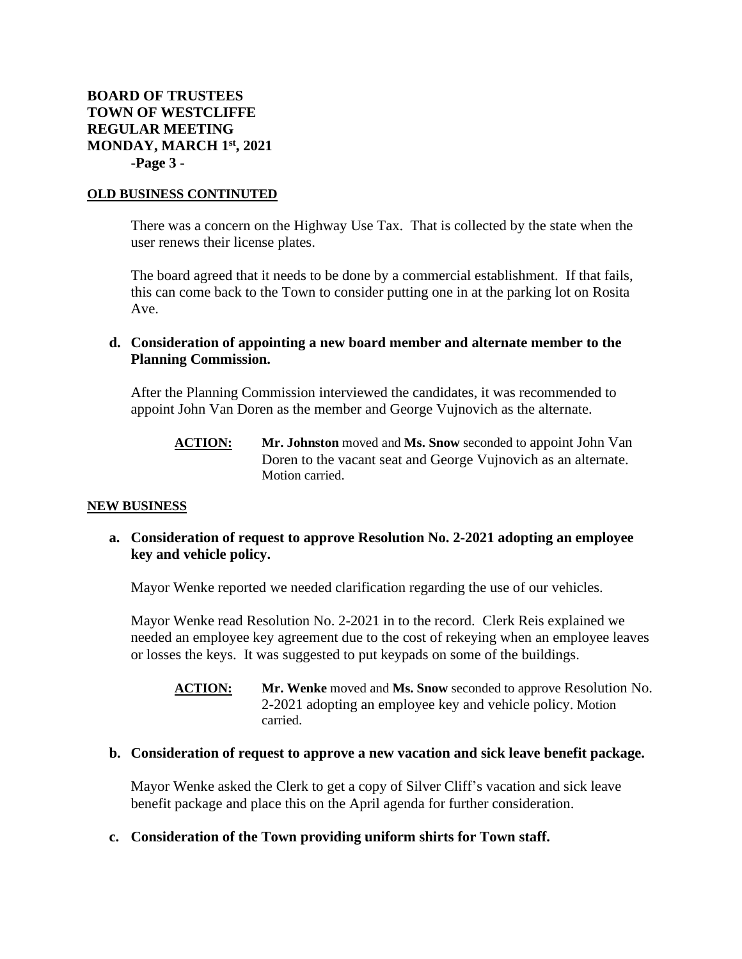## **OLD BUSINESS CONTINUTED**

There was a concern on the Highway Use Tax. That is collected by the state when the user renews their license plates.

The board agreed that it needs to be done by a commercial establishment. If that fails, this can come back to the Town to consider putting one in at the parking lot on Rosita Ave.

# **d. Consideration of appointing a new board member and alternate member to the Planning Commission.**

After the Planning Commission interviewed the candidates, it was recommended to appoint John Van Doren as the member and George Vujnovich as the alternate.

**ACTION: Mr. Johnston** moved and **Ms. Snow** seconded to appoint John Van Doren to the vacant seat and George Vujnovich as an alternate. Motion carried.

## **NEW BUSINESS**

## **a. Consideration of request to approve Resolution No. 2-2021 adopting an employee key and vehicle policy.**

Mayor Wenke reported we needed clarification regarding the use of our vehicles.

Mayor Wenke read Resolution No. 2-2021 in to the record. Clerk Reis explained we needed an employee key agreement due to the cost of rekeying when an employee leaves or losses the keys. It was suggested to put keypads on some of the buildings.

**ACTION: Mr. Wenke** moved and **Ms. Snow** seconded to approve Resolution No. 2-2021 adopting an employee key and vehicle policy. Motion carried.

#### **b. Consideration of request to approve a new vacation and sick leave benefit package.**

Mayor Wenke asked the Clerk to get a copy of Silver Cliff's vacation and sick leave benefit package and place this on the April agenda for further consideration.

## **c. Consideration of the Town providing uniform shirts for Town staff.**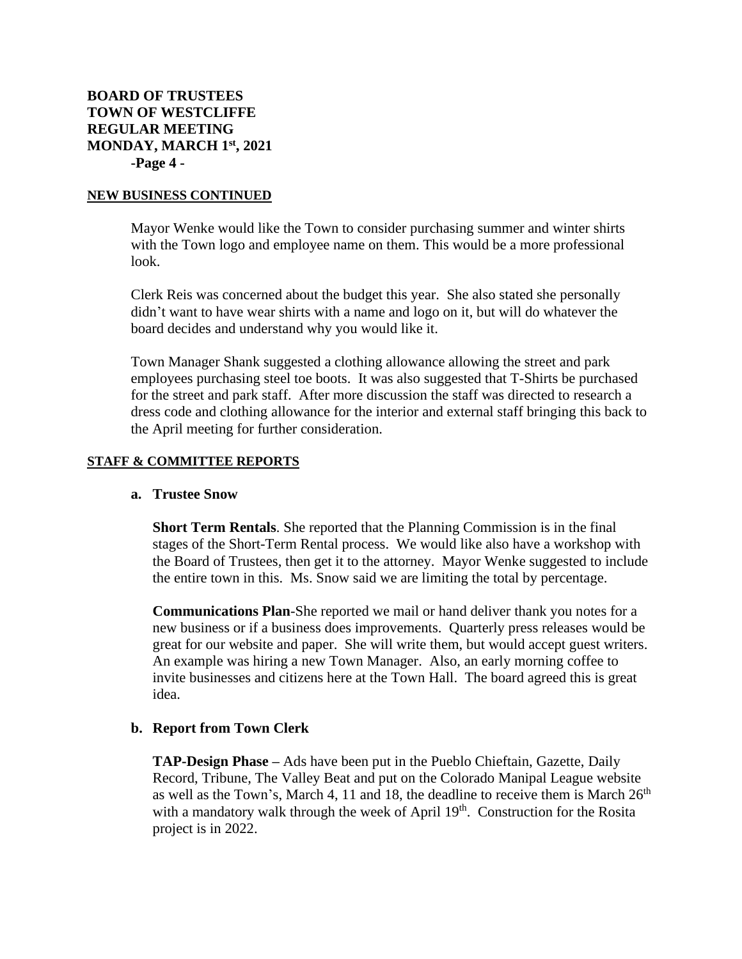#### **NEW BUSINESS CONTINUED**

Mayor Wenke would like the Town to consider purchasing summer and winter shirts with the Town logo and employee name on them. This would be a more professional look.

Clerk Reis was concerned about the budget this year. She also stated she personally didn't want to have wear shirts with a name and logo on it, but will do whatever the board decides and understand why you would like it.

Town Manager Shank suggested a clothing allowance allowing the street and park employees purchasing steel toe boots. It was also suggested that T-Shirts be purchased for the street and park staff. After more discussion the staff was directed to research a dress code and clothing allowance for the interior and external staff bringing this back to the April meeting for further consideration.

#### **STAFF & COMMITTEE REPORTS**

#### **a. Trustee Snow**

**Short Term Rentals**. She reported that the Planning Commission is in the final stages of the Short-Term Rental process. We would like also have a workshop with the Board of Trustees, then get it to the attorney. Mayor Wenke suggested to include the entire town in this. Ms. Snow said we are limiting the total by percentage.

**Communications Plan**-She reported we mail or hand deliver thank you notes for a new business or if a business does improvements. Quarterly press releases would be great for our website and paper. She will write them, but would accept guest writers. An example was hiring a new Town Manager. Also, an early morning coffee to invite businesses and citizens here at the Town Hall. The board agreed this is great idea.

## **b. Report from Town Clerk**

**TAP-Design Phase –** Ads have been put in the Pueblo Chieftain, Gazette, Daily Record, Tribune, The Valley Beat and put on the Colorado Manipal League website as well as the Town's, March 4, 11 and 18, the deadline to receive them is March  $26<sup>th</sup>$ with a mandatory walk through the week of April 19<sup>th</sup>. Construction for the Rosita project is in 2022.